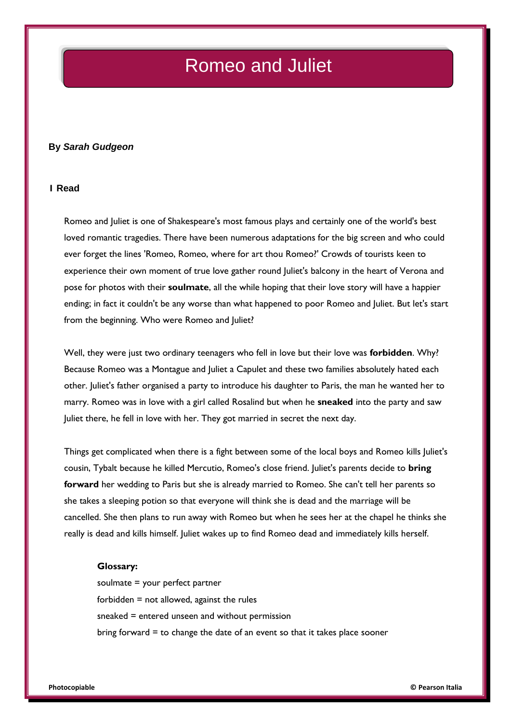# Romeo and Juliet

### **By** *Sarah Gudgeon*

### **1 Read**

Romeo and Juliet is one of Shakespeare's most famous plays and certainly one of the world's best loved romantic tragedies. There have been numerous adaptations for the big screen and who could ever forget the lines 'Romeo, Romeo, where for art thou Romeo?' Crowds of tourists keen to experience their own moment of true love gather round Juliet's balcony in the heart of Verona and pose for photos with their **soulmate**, all the while hoping that their love story will have a happier ending; in fact it couldn't be any worse than what happened to poor Romeo and Juliet. But let's start from the beginning. Who were Romeo and Juliet?

Well, they were just two ordinary teenagers who fell in love but their love was **forbidden**. Why? Because Romeo was a Montague and Juliet a Capulet and these two families absolutely hated each other. Juliet's father organised a party to introduce his daughter to Paris, the man he wanted her to marry. Romeo was in love with a girl called Rosalind but when he **sneaked** into the party and saw Juliet there, he fell in love with her. They got married in secret the next day.

Things get complicated when there is a fight between some of the local boys and Romeo kills Juliet's cousin, Tybalt because he killed Mercutio, Romeo's close friend. Juliet's parents decide to **bring forward** her wedding to Paris but she is already married to Romeo. She can't tell her parents so she takes a sleeping potion so that everyone will think she is dead and the marriage will be cancelled. She then plans to run away with Romeo but when he sees her at the chapel he thinks she really is dead and kills himself. Juliet wakes up to find Romeo dead and immediately kills herself.

#### **Glossary:**

soulmate = your perfect partner forbidden  $=$  not allowed, against the rules sneaked = entered unseen and without permission bring forward  $=$  to change the date of an event so that it takes place sooner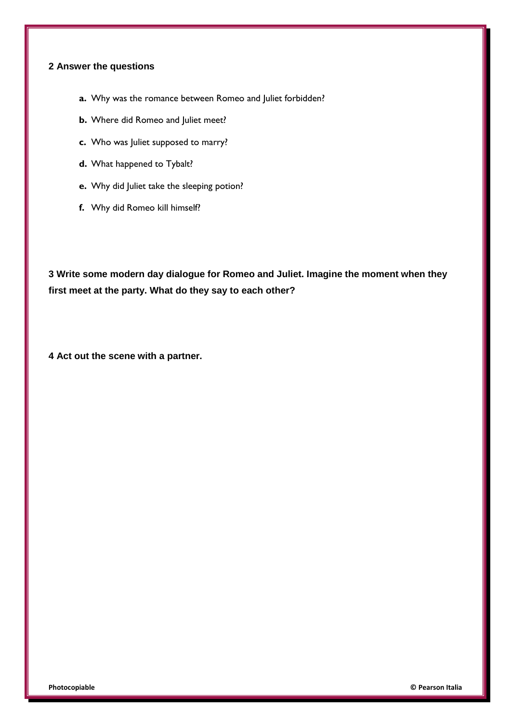# **2 Answer the questions**

- **a.** Why was the romance between Romeo and Juliet forbidden?
- **b.** Where did Romeo and Juliet meet?
- **c.** Who was Juliet supposed to marry?
- **d.** What happened to Tybalt?
- **e.** Why did Juliet take the sleeping potion?
- **f.** Why did Romeo kill himself?

**3 Write some modern day dialogue for Romeo and Juliet. Imagine the moment when they first meet at the party. What do they say to each other?**

**4 Act out the scene with a partner.**